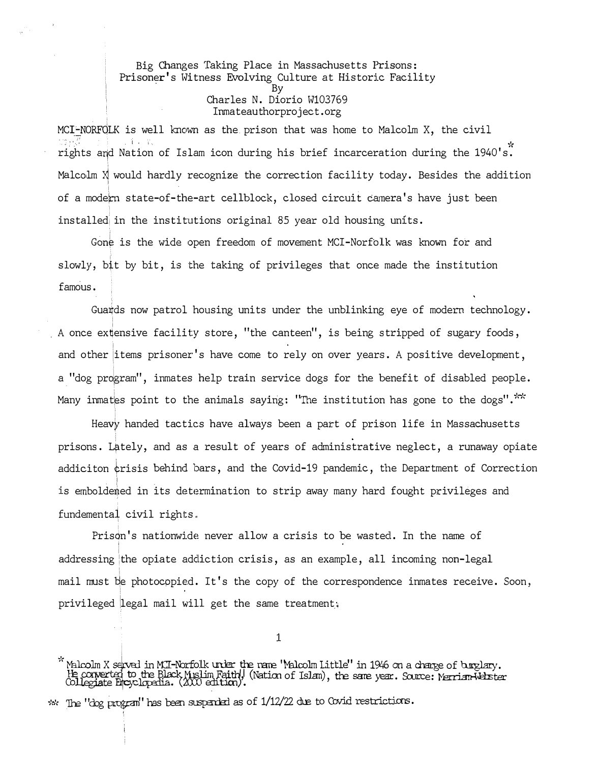Big Changes Taking Place in Massachusetts Prisons: Prisoner's Witness Evolving Culture at Historic Facility By Charles N. Diorio W103769 Inrnateauthorproject.org

 $MCI-NORFQLK$  is well known as the prison that was home to Malcolm X, the civil ' ' .... ·:: ,: ...... • · 1 ' ·:· ·• "'( rights atjd Nation of Islam icon during his brief incarceration during the 1940's. Malco $\text{Im } X$  would hardly recognize the correction facility today. Besides the addition • of a modern state-of-the-art cellblock, closed circuit camera's have just been installed in the institutions original 85 year old housing units.

Gone is the wide open freedom of movement MCI-Norfolk was known for and slowly, bit by bit, is the taking of privileges that once made the institution famous.

Gua�ds now patrol housing units under the unblinking eye of modern technology. A once ex�ensive facility store, "the canteen", is being stripped of sugary foods, and other items prisoner's have come to rely on over years. A positive development, a "dog program", inmates help train service dogs for the benefit of disabled people. Many inmates point to the animals saying: "The institution has gone to the dogs"."

Heavy handed tactics have always been a part of prison life in Massachusetts prisons. L�tely, and as a result of years of administrative neglect, a runaway opiate addiciton ¢risis behind bars, and the Covid-19 pandemic, the Department of Correction • I • is emboldemed in its determination to strip away many hard fought privileges and fundemental civil rights ..

Prison's nationwide never allow a crisis to be wasted. In the name of addressing the opiate addiction crisis, as an example, all incoming non-legal '1 mail must be photocopied. It's the copy of the correspondence inmates receive. Soon, privileged legal mail will get the same treatment.

1

<sup>;&</sup>lt;br>"Malcolm X served in MCI-Norfolk urder the rane 'Malcolm Little'' in 1946 on a change of burglary. radomin & served in hui-horlock where the rane radoominicitie in 1946 on a crange of ourgrary.<br>He converted to the Black Muslim Faith! (Nation of Islam), the sare year. Source: Merrian-Melister<br>Collegiate Encyclopadia. (20

 $**$  The "dog program" has been suspended as of  $1/12/22$  due to Covid restrictions.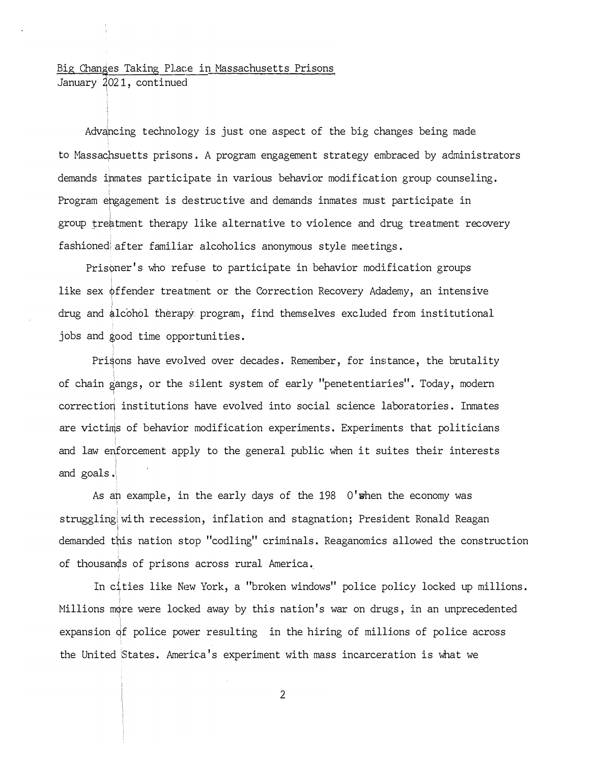## <u>Big Changes Taking Place</u><br>January 2021, continued Big Changes Taking Place in Massachusetts Prisons

Advancing technology is just one aspect of the big changes being made to Massachsuetts prisons. A program engagement strategy embraced by administrators demands ipmates participate in various behavior modification group counseling. Program ep gagement is destructive and demands inmates must participate in group treatment therapy like alternative to violence and drug treatment recovery fashioned after familiar alcoholics anonymous style meetings.

Prisoner's who refuse to participate in behavior modification groups like sex  $\phi$ ffender treatment or the Correction Recovery Adademy, an intensive drug and alcohol therapy program, find themselves excluded from institutional jobs and good time opportunities.

Prisons have evolved over decades. Remember, for instance, the brutality of chain � angs, or the silent system of early "penetentiaries". Today, modern correction institutions have evolved into social science laboratories. Inmates are victims of behavior modification experiments. Experiments that politicians and law enforcement apply to the general public when it suites their interests and goals . 1

As an example, in the early days of the  $198$  O'when the economy was ! strugglingiwith recession, inflation and stagnation; President Ronald Reagan demanded this nation stop "codling" criminals. Reaganomics allowed the construction of thousands of prisons across rural America.

In cities like New York, a "broken windows" police policy locked up millions. Millions more were locked away by this nation's war on drugs, in an unprecedented expansion of police power resulting in the hiring of millions of police across the United !States. America's experiment with mass incarceration is what we

2